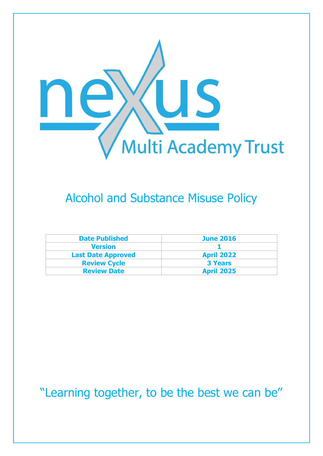

## Alcohol and Substance Misuse Policy

| <b>Date Published</b>     | <b>June 2016</b>  |
|---------------------------|-------------------|
| <b>Version</b>            |                   |
| <b>Last Date Approved</b> | <b>April 2022</b> |
| <b>Review Cycle</b>       | <b>3 Years</b>    |
| <b>Review Date</b>        | <b>April 2025</b> |

"Learning together, to be the best we can be"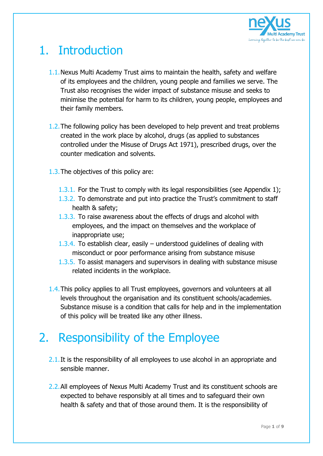

## 1. Introduction

- 1.1.Nexus Multi Academy Trust aims to maintain the health, safety and welfare of its employees and the children, young people and families we serve. The Trust also recognises the wider impact of substance misuse and seeks to minimise the potential for harm to its children, young people, employees and their family members.
- 1.2.The following policy has been developed to help prevent and treat problems created in the work place by alcohol, drugs (as applied to substances controlled under the Misuse of Drugs Act 1971), prescribed drugs, over the counter medication and solvents.
- 1.3.The objectives of this policy are:
	- 1.3.1. For the Trust to comply with its legal responsibilities (see Appendix 1);
	- 1.3.2. To demonstrate and put into practice the Trust's commitment to staff health & safety;
	- 1.3.3. To raise awareness about the effects of drugs and alcohol with employees, and the impact on themselves and the workplace of inappropriate use;
	- 1.3.4. To establish clear, easily understood guidelines of dealing with misconduct or poor performance arising from substance misuse
	- 1.3.5. To assist managers and supervisors in dealing with substance misuse related incidents in the workplace.
- 1.4.This policy applies to all Trust employees, governors and volunteers at all levels throughout the organisation and its constituent schools/academies. Substance misuse is a condition that calls for help and in the implementation of this policy will be treated like any other illness.

## 2. Responsibility of the Employee

- 2.1. It is the responsibility of all employees to use alcohol in an appropriate and sensible manner.
- 2.2.All employees of Nexus Multi Academy Trust and its constituent schools are expected to behave responsibly at all times and to safeguard their own health & safety and that of those around them. It is the responsibility of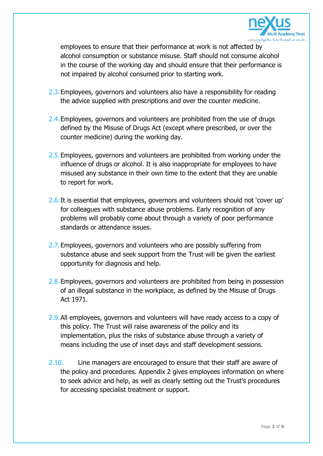

employees to ensure that their performance at work is not affected by alcohol consumption or substance misuse. Staff should not consume alcohol in the course of the working day and should ensure that their performance is not impaired by alcohol consumed prior to starting work.

- 2.3.Employees, governors and volunteers also have a responsibility for reading the advice supplied with prescriptions and over the counter medicine.
- 2.4. Employees, governors and volunteers are prohibited from the use of drugs defined by the Misuse of Drugs Act (except where prescribed, or over the counter medicine) during the working day.
- 2.5. Employees, governors and volunteers are prohibited from working under the influence of drugs or alcohol. It is also inappropriate for employees to have misused any substance in their own time to the extent that they are unable to report for work.
- 2.6.It is essential that employees, governors and volunteers should not 'cover up' for colleagues with substance abuse problems. Early recognition of any problems will probably come about through a variety of poor performance standards or attendance issues.
- 2.7. Employees, governors and volunteers who are possibly suffering from substance abuse and seek support from the Trust will be given the earliest opportunity for diagnosis and help.
- 2.8.Employees, governors and volunteers are prohibited from being in possession of an illegal substance in the workplace, as defined by the Misuse of Drugs Act 1971.
- 2.9.All employees, governors and volunteers will have ready access to a copy of this policy. The Trust will raise awareness of the policy and its implementation, plus the risks of substance abuse through a variety of means including the use of inset days and staff development sessions.
- 2.10. Line managers are encouraged to ensure that their staff are aware of the policy and procedures. Appendix 2 gives employees information on where to seek advice and help, as well as clearly setting out the Trust's procedures for accessing specialist treatment or support.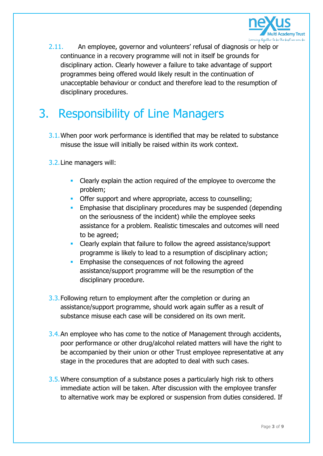

2.11. An employee, governor and volunteers' refusal of diagnosis or help or continuance in a recovery programme will not in itself be grounds for disciplinary action. Clearly however a failure to take advantage of support programmes being offered would likely result in the continuation of unacceptable behaviour or conduct and therefore lead to the resumption of disciplinary procedures.

## 3. Responsibility of Line Managers

- 3.1.When poor work performance is identified that may be related to substance misuse the issue will initially be raised within its work context.
- 3.2.Line managers will:
	- Clearly explain the action required of the employee to overcome the problem;
	- **Offer support and where appropriate, access to counselling:**
	- **Emphasise that disciplinary procedures may be suspended (depending)** on the seriousness of the incident) while the employee seeks assistance for a problem. Realistic timescales and outcomes will need to be agreed;
	- Clearly explain that failure to follow the agreed assistance/support programme is likely to lead to a resumption of disciplinary action;
	- Emphasise the consequences of not following the agreed assistance/support programme will be the resumption of the disciplinary procedure.
- 3.3. Following return to employment after the completion or during an assistance/support programme, should work again suffer as a result of substance misuse each case will be considered on its own merit.
- 3.4. An employee who has come to the notice of Management through accidents, poor performance or other drug/alcohol related matters will have the right to be accompanied by their union or other Trust employee representative at any stage in the procedures that are adopted to deal with such cases.
- 3.5.Where consumption of a substance poses a particularly high risk to others immediate action will be taken. After discussion with the employee transfer to alternative work may be explored or suspension from duties considered. If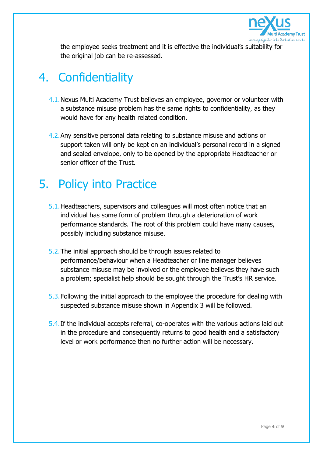

the employee seeks treatment and it is effective the individual's suitability for the original job can be re-assessed.

### 4. Confidentiality

- 4.1.Nexus Multi Academy Trust believes an employee, governor or volunteer with a substance misuse problem has the same rights to confidentiality, as they would have for any health related condition.
- 4.2.Any sensitive personal data relating to substance misuse and actions or support taken will only be kept on an individual's personal record in a signed and sealed envelope, only to be opened by the appropriate Headteacher or senior officer of the Trust.

### 5. Policy into Practice

- 5.1.Headteachers, supervisors and colleagues will most often notice that an individual has some form of problem through a deterioration of work performance standards. The root of this problem could have many causes, possibly including substance misuse.
- 5.2.The initial approach should be through issues related to performance/behaviour when a Headteacher or line manager believes substance misuse may be involved or the employee believes they have such a problem; specialist help should be sought through the Trust's HR service.
- 5.3.Following the initial approach to the employee the procedure for dealing with suspected substance misuse shown in Appendix 3 will be followed.
- 5.4.If the individual accepts referral, co-operates with the various actions laid out in the procedure and consequently returns to good health and a satisfactory level or work performance then no further action will be necessary.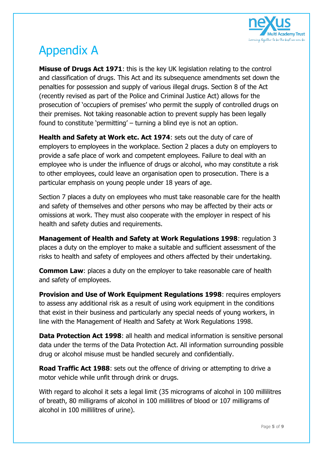

# Appendix A

**Misuse of Drugs Act 1971**: this is the key UK legislation relating to the control and classification of drugs. This Act and its subsequence amendments set down the penalties for possession and supply of various illegal drugs. Section 8 of the Act (recently revised as part of the Police and Criminal Justice Act) allows for the prosecution of 'occupiers of premises' who permit the supply of controlled drugs on their premises. Not taking reasonable action to prevent supply has been legally found to constitute 'permitting' – turning a blind eye is not an option.

**Health and Safety at Work etc. Act 1974**: sets out the duty of care of employers to employees in the workplace. Section 2 places a duty on employers to provide a safe place of work and competent employees. Failure to deal with an employee who is under the influence of drugs or alcohol, who may constitute a risk to other employees, could leave an organisation open to prosecution. There is a particular emphasis on young people under 18 years of age.

Section 7 places a duty on employees who must take reasonable care for the health and safety of themselves and other persons who may be affected by their acts or omissions at work. They must also cooperate with the employer in respect of his health and safety duties and requirements.

**Management of Health and Safety at Work Regulations 1998**: regulation 3 places a duty on the employer to make a suitable and sufficient assessment of the risks to health and safety of employees and others affected by their undertaking.

**Common Law:** places a duty on the employer to take reasonable care of health and safety of employees.

**Provision and Use of Work Equipment Regulations 1998: requires employers** to assess any additional risk as a result of using work equipment in the conditions that exist in their business and particularly any special needs of young workers, in line with the Management of Health and Safety at Work Regulations 1998.

**Data Protection Act 1998**: all health and medical information is sensitive personal data under the terms of the Data Protection Act. All information surrounding possible drug or alcohol misuse must be handled securely and confidentially.

**Road Traffic Act 1988**: sets out the offence of driving or attempting to drive a motor vehicle while unfit through drink or drugs.

With regard to alcohol it sets a legal limit (35 micrograms of alcohol in 100 millilitres of breath, 80 milligrams of alcohol in 100 millilitres of blood or 107 milligrams of alcohol in 100 millilitres of urine).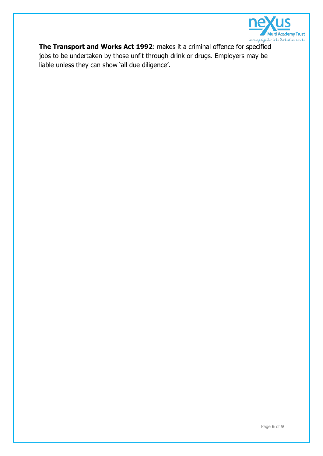

**The Transport and Works Act 1992**: makes it a criminal offence for specified jobs to be undertaken by those unfit through drink or drugs. Employers may be liable unless they can show 'all due diligence'.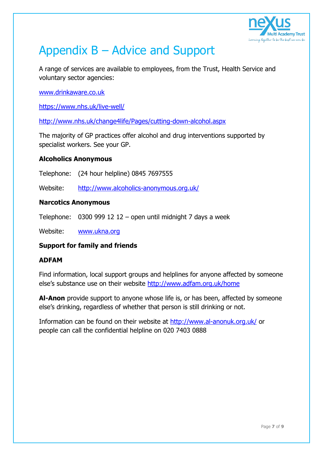

## Appendix B – Advice and Support

A range of services are available to employees, from the Trust, Health Service and voluntary sector agencies:

[www.drinkaware.co.uk](http://www.drinkaware.co.uk/)

<https://www.nhs.uk/live-well/>

<http://www.nhs.uk/change4life/Pages/cutting-down-alcohol.aspx>

The majority of GP practices offer alcohol and drug interventions supported by specialist workers. See your GP.

### **Alcoholics Anonymous**

Telephone: (24 hour helpline) 0845 7697555

Website: <http://www.alcoholics-anonymous.org.uk/>

#### **Narcotics Anonymous**

Telephone: 0300 999 12 12 – open until midnight 7 days a week

Website: [www.ukna.org](http://www.ukna.org/)

### **Support for family and friends**

#### **ADFAM**

Find information, local support groups and helplines for anyone affected by someone else's substance use on their website <http://www.adfam.org.uk/home>

**Al-Anon** provide support to anyone whose life is, or has been, affected by someone else's drinking, regardless of whether that person is still drinking or not.

Information can be found on their website at<http://www.al-anonuk.org.uk/> or people can call the confidential helpline on 020 7403 0888